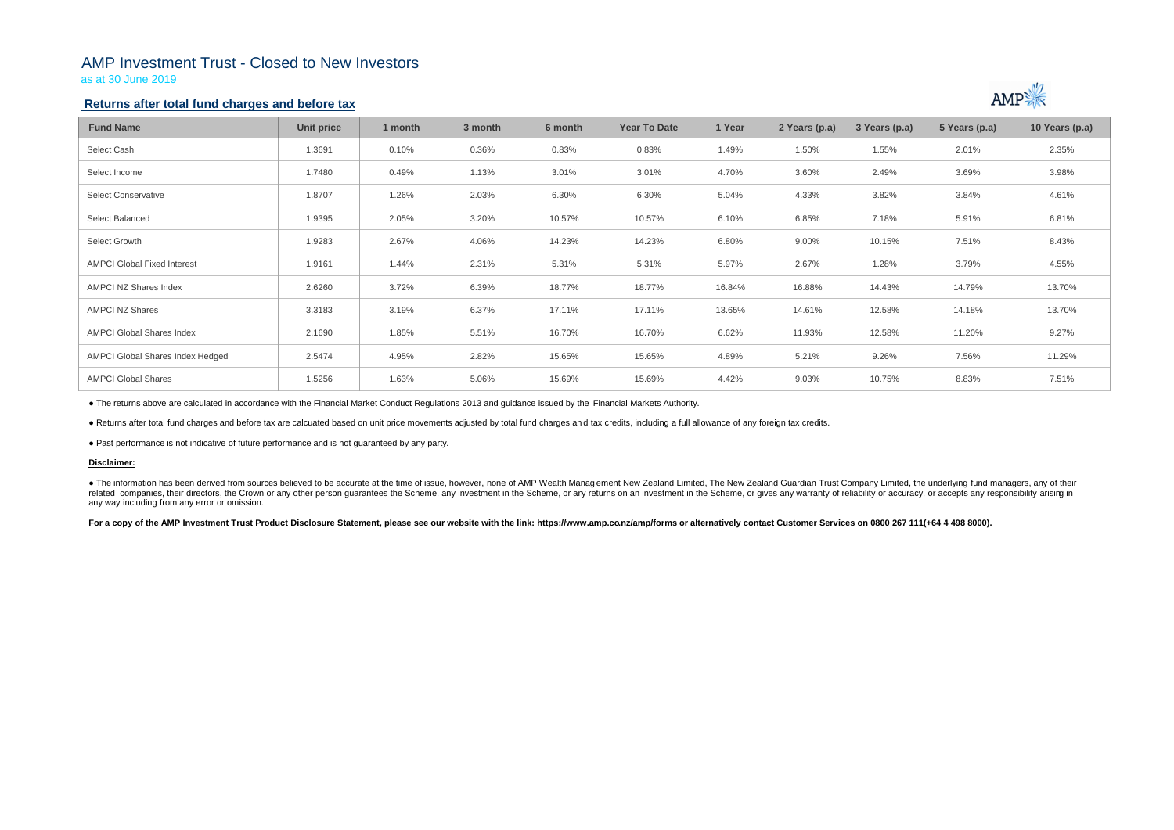# AMP Investment Trust - Closed to New Investors

as at 30 June 2019

### **Returns after total fund charges and before tax**

| <b>Fund Name</b>                   | <b>Unit price</b> | 1 month | 3 month | 6 month | <b>Year To Date</b> | 1 Year | 2 Years (p.a) | 3 Years (p.a) | 5 Years (p.a) | 10 Years (p.a) |
|------------------------------------|-------------------|---------|---------|---------|---------------------|--------|---------------|---------------|---------------|----------------|
| Select Cash                        | 1.3691            | 0.10%   | 0.36%   | 0.83%   | 0.83%               | 1.49%  | 1.50%         | 1.55%         | 2.01%         | 2.35%          |
| Select Income                      | 1.7480            | 0.49%   | 1.13%   | 3.01%   | 3.01%               | 4.70%  | 3.60%         | 2.49%         | 3.69%         | 3.98%          |
| <b>Select Conservative</b>         | 1.8707            | 1.26%   | 2.03%   | 6.30%   | 6.30%               | 5.04%  | 4.33%         | 3.82%         | 3.84%         | 4.61%          |
| Select Balanced                    | 1.9395            | 2.05%   | 3.20%   | 10.57%  | 10.57%              | 6.10%  | 6.85%         | 7.18%         | 5.91%         | 6.81%          |
| Select Growth                      | 1.9283            | 2.67%   | 4.06%   | 14.23%  | 14.23%              | 6.80%  | 9.00%         | 10.15%        | 7.51%         | 8.43%          |
| <b>AMPCI Global Fixed Interest</b> | 1.9161            | 1.44%   | 2.31%   | 5.31%   | 5.31%               | 5.97%  | 2.67%         | 1.28%         | 3.79%         | 4.55%          |
| AMPCI NZ Shares Index              | 2.6260            | 3.72%   | 6.39%   | 18.77%  | 18.77%              | 16.84% | 16.88%        | 14.43%        | 14.79%        | 13.70%         |
| <b>AMPCI NZ Shares</b>             | 3.3183            | 3.19%   | 6.37%   | 17.11%  | 17.11%              | 13.65% | 14.61%        | 12.58%        | 14.18%        | 13.70%         |
| <b>AMPCI Global Shares Index</b>   | 2.1690            | 1.85%   | 5.51%   | 16.70%  | 16.70%              | 6.62%  | 11.93%        | 12.58%        | 11.20%        | 9.27%          |
| AMPCI Global Shares Index Hedged   | 2.5474            | 4.95%   | 2.82%   | 15.65%  | 15.65%              | 4.89%  | 5.21%         | 9.26%         | 7.56%         | 11.29%         |
| <b>AMPCI Global Shares</b>         | 1.5256            | 1.63%   | 5.06%   | 15.69%  | 15.69%              | 4.42%  | 9.03%         | 10.75%        | 8.83%         | 7.51%          |

• The information has been derived from sources believed to be accurate at the time of issue, however, none of AMP Wealth Management New Zealand Limited, The New Zealand Guardian Trust Company Limited, the underlying fund related companies, their directors, the Crown or any other person guarantees the Scheme, any investment in the Scheme, or any returns on an investment in the Scheme, or gives any warranty of reliability or accuracy, or acc any way including from any error or omission.

For a copy of the AMP Investment Trust Product Disclosure Statement, please see our website with the link: https://www.amp.co.nz/amp/forms or alternatively contact Customer Services on 0800 267 111(+64 4 498 8000).



● The returns above are calculated in accordance with the Financial Market Conduct Regulations 2013 and guidance issued by the Financial Markets Authority.

● Returns after total fund charges and before tax are calcuated based on unit price movements adjusted by total fund charges an d tax credits, including a full allowance of any foreign tax credits.

● Past performance is not indicative of future performance and is not guaranteed by any party.

#### **Disclaimer:**